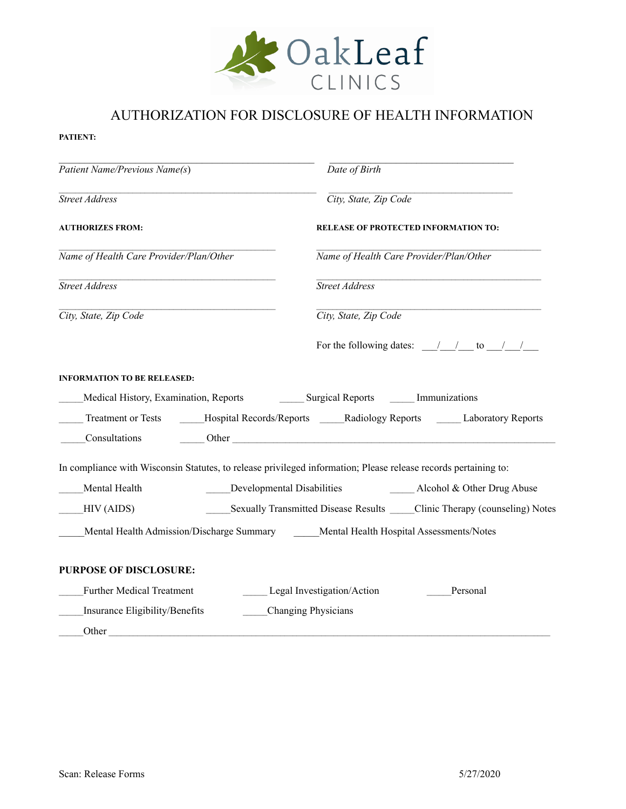

## AUTHORIZATION FOR DISCLOSURE OF HEALTH INFORMATION

## **PATIENT:**

| Patient Name/Previous Name(s)           | Date of Birth                                                                                                                                                                                                                  |
|-----------------------------------------|--------------------------------------------------------------------------------------------------------------------------------------------------------------------------------------------------------------------------------|
| Street Address                          | City, State, Zip Code                                                                                                                                                                                                          |
| <b>AUTHORIZES FROM:</b>                 | <b>RELEASE OF PROTECTED INFORMATION TO:</b>                                                                                                                                                                                    |
| Name of Health Care Provider/Plan/Other | Name of Health Care Provider/Plan/Other                                                                                                                                                                                        |
| Street Address                          | Street Address                                                                                                                                                                                                                 |
| City, State, Zip Code                   | City, State, Zip Code                                                                                                                                                                                                          |
|                                         | For the following dates: $\frac{1}{\sqrt{1-\frac{1}{2}}}$ to $\frac{1}{\sqrt{1-\frac{1}{2}}}$                                                                                                                                  |
| <b>INFORMATION TO BE RELEASED:</b>      |                                                                                                                                                                                                                                |
|                                         |                                                                                                                                                                                                                                |
|                                         | Treatment or Tests ______Hospital Records/Reports _____Radiology Reports _____Laboratory Reports                                                                                                                               |
| Consultations                           | Other contracts of the contracts of the contracts of the contracts of the contracts of the contracts of the contracts of the contracts of the contracts of the contracts of the contracts of the contracts of the contracts of |
|                                         | In compliance with Wisconsin Statutes, to release privileged information; Please release records pertaining to:                                                                                                                |
| Mental Health                           | <b>Developmental Disabilities</b><br>Alcohol & Other Drug Abuse                                                                                                                                                                |
| HIV (AIDS)                              | _Sexually Transmitted Disease Results _____Clinic Therapy (counseling) Notes                                                                                                                                                   |
|                                         | Mental Health Admission/Discharge Summary Mental Health Hospital Assessments/Notes                                                                                                                                             |
| <b>PURPOSE OF DISCLOSURE:</b>           |                                                                                                                                                                                                                                |
| <b>Further Medical Treatment</b>        | Legal Investigation/Action<br>Personal                                                                                                                                                                                         |
| Insurance Eligibility/Benefits          | <b>Changing Physicians</b>                                                                                                                                                                                                     |
| Other                                   |                                                                                                                                                                                                                                |